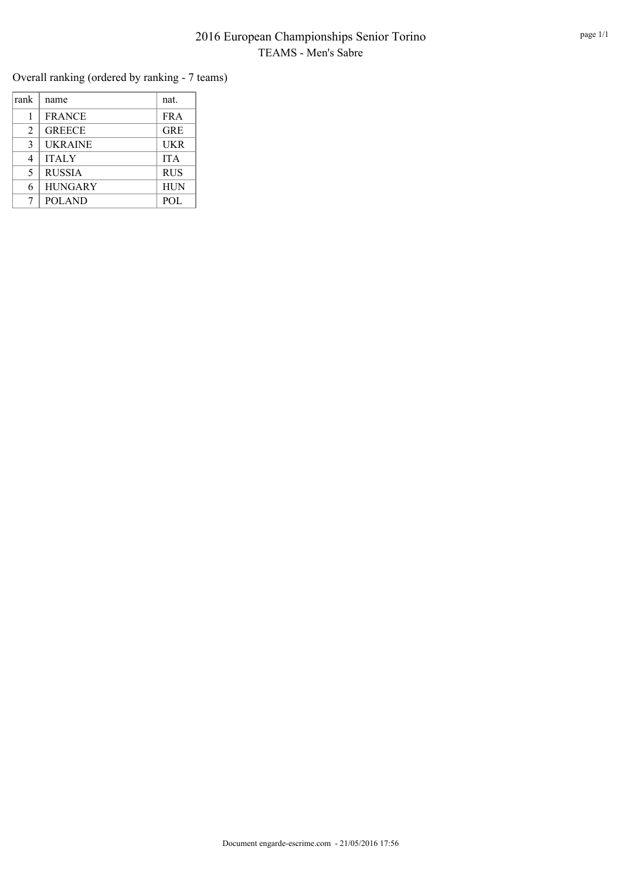## 2016 European Championships Senior Torino TEAMS - Men's Sabre

Overall ranking (ordered by ranking - 7 teams)

| rank | name           | nat.       |
|------|----------------|------------|
|      | <b>FRANCE</b>  | <b>FRA</b> |
| 2    | <b>GREECE</b>  | <b>GRE</b> |
| 3    | <b>UKRAINE</b> | <b>UKR</b> |
| 4    | <b>ITALY</b>   | <b>ITA</b> |
| 5    | <b>RUSSIA</b>  | <b>RUS</b> |
| 6    | <b>HUNGARY</b> | <b>HUN</b> |
| 7    | <b>POLAND</b>  | <b>POL</b> |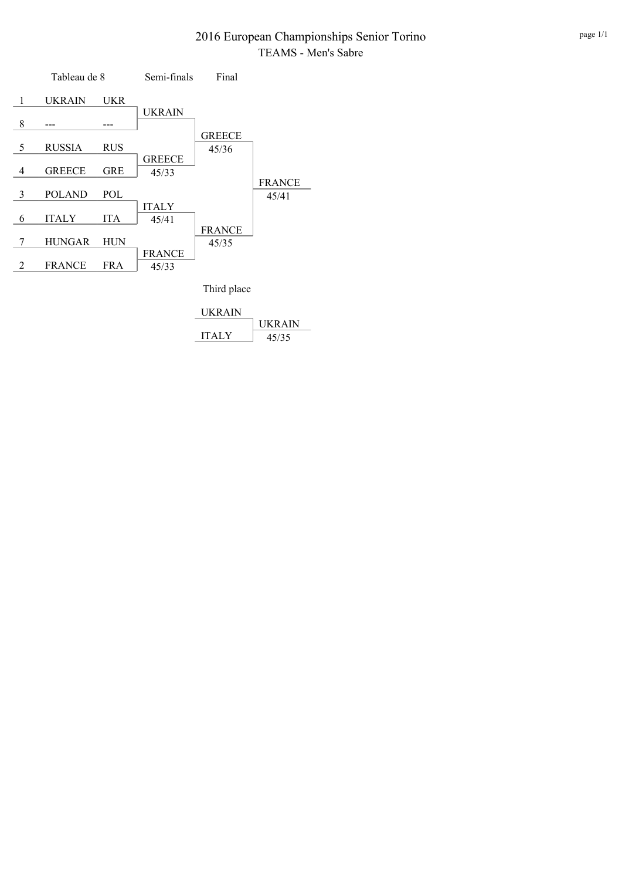#### 2016 European Championships Senior Torino TEAMS - Men's Sabre



| UKRAIN       |        |
|--------------|--------|
|              | UKRAIN |
| <b>ITALY</b> | 45/35  |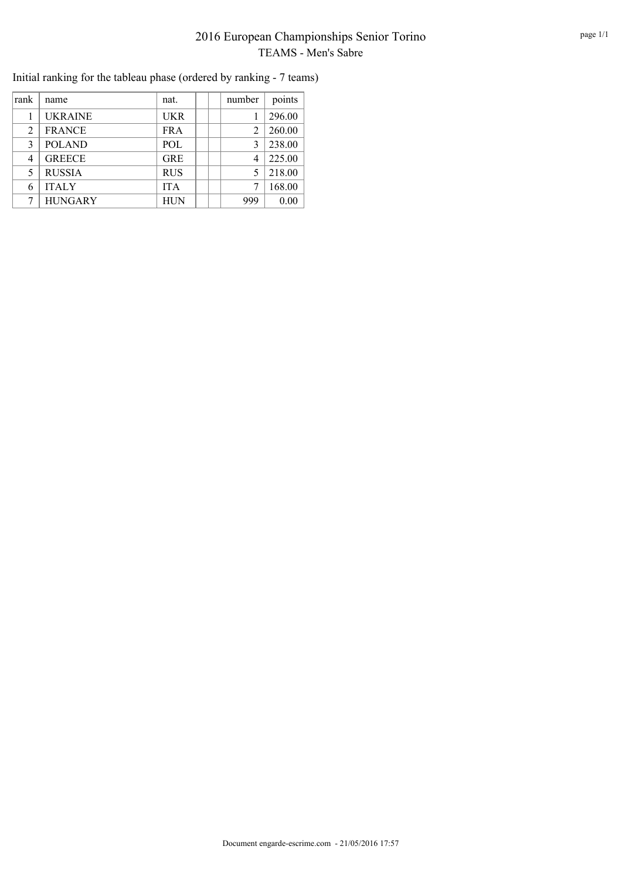# 2016 European Championships Senior Torino TEAMS - Men's Sabre

| rank | name           | nat.       | number | points |
|------|----------------|------------|--------|--------|
|      | <b>UKRAINE</b> | <b>UKR</b> |        | 296.00 |
| 2    | <b>FRANCE</b>  | <b>FRA</b> |        | 260.00 |
| 3    | <b>POLAND</b>  | <b>POL</b> | 3      | 238.00 |
| 4    | <b>GREECE</b>  | <b>GRE</b> | 4      | 225.00 |
| 5    | <b>RUSSIA</b>  | <b>RUS</b> |        | 218.00 |
| 6    | <b>ITALY</b>   | <b>ITA</b> |        | 168.00 |
|      | <b>HUNGARY</b> | <b>HUN</b> | 999    | 0.00   |

Initial ranking for the tableau phase (ordered by ranking - 7 teams)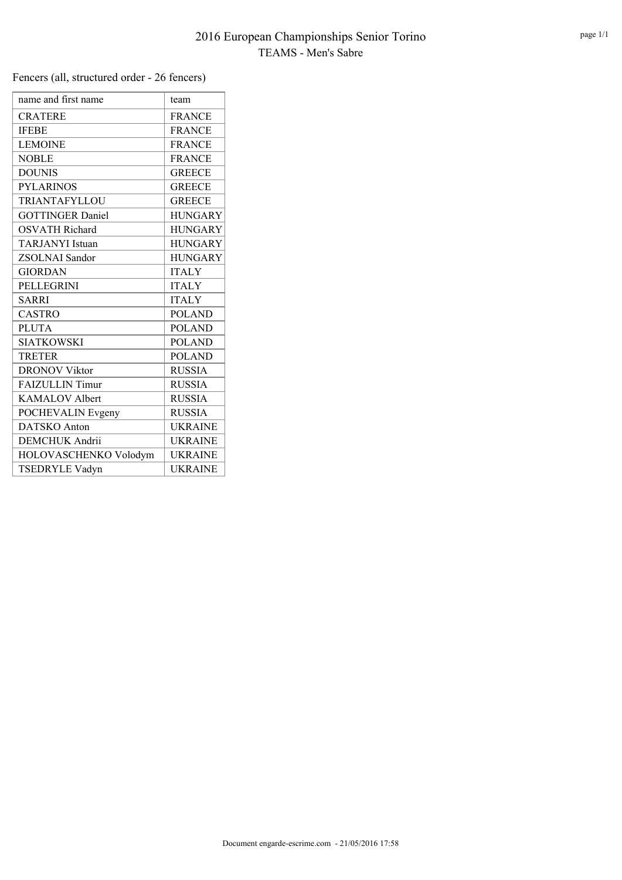Fencers (all, structured order - 26 fencers)

| name and first name     | team           |
|-------------------------|----------------|
| <b>CRATERE</b>          | <b>FRANCE</b>  |
| <b>IFEBE</b>            | <b>FRANCE</b>  |
| <b>LEMOINE</b>          | <b>FRANCE</b>  |
| <b>NOBLE</b>            | <b>FRANCE</b>  |
| <b>DOUNIS</b>           | <b>GREECE</b>  |
| <b>PYLARINOS</b>        | <b>GREECE</b>  |
| TRIANTAFYLLOU           | <b>GREECE</b>  |
| <b>GOTTINGER Daniel</b> | <b>HUNGARY</b> |
| <b>OSVATH Richard</b>   | <b>HUNGARY</b> |
| <b>TARJANYI</b> Istuan  | <b>HUNGARY</b> |
| <b>ZSOLNAI</b> Sandor   | <b>HUNGARY</b> |
| <b>GIORDAN</b>          | <b>ITALY</b>   |
| <b>PELLEGRINI</b>       | <b>ITALY</b>   |
| <b>SARRI</b>            | <b>ITALY</b>   |
| <b>CASTRO</b>           | <b>POLAND</b>  |
| <b>PLUTA</b>            | <b>POLAND</b>  |
| <b>SIATKOWSKI</b>       | <b>POLAND</b>  |
| <b>TRETER</b>           | <b>POLAND</b>  |
| <b>DRONOV Viktor</b>    | <b>RUSSIA</b>  |
| <b>FAIZULLIN Timur</b>  | <b>RUSSIA</b>  |
| <b>KAMALOV Albert</b>   | <b>RUSSIA</b>  |
| POCHEVALIN Evgeny       | <b>RUSSIA</b>  |
| <b>DATSKO</b> Anton     | <b>UKRAINE</b> |
| <b>DEMCHUK</b> Andrii   | <b>UKRAINE</b> |
| HOLOVASCHENKO Volodym   | <b>UKRAINE</b> |
| <b>TSEDRYLE Vadyn</b>   | <b>UKRAINE</b> |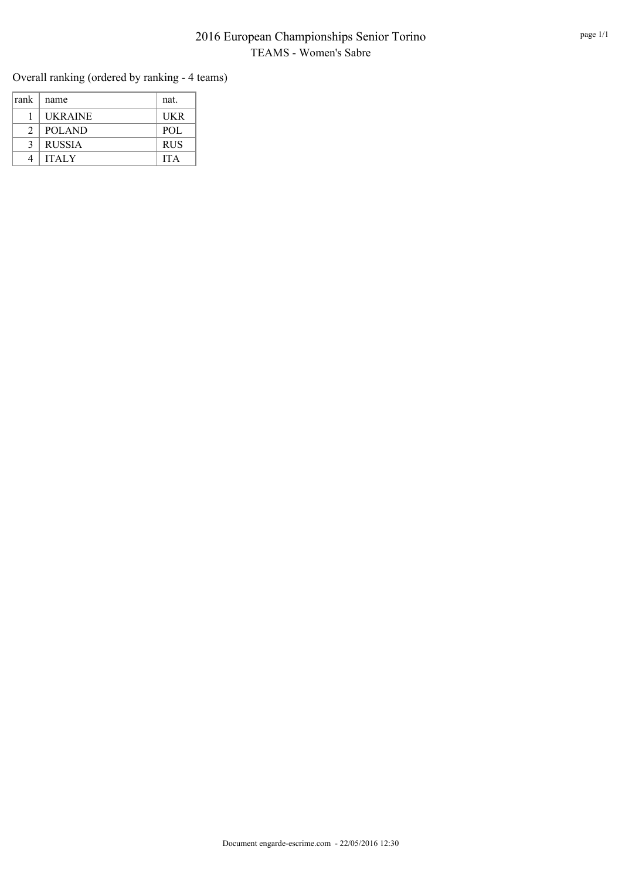### 2016 European Championships Senior Torino TEAMS - Women's Sabre

Overall ranking (ordered by ranking - 4 teams)

| rank          | name           | nat.       |
|---------------|----------------|------------|
|               | <b>UKRAINE</b> | <b>UKR</b> |
| $\mathcal{D}$ | POLAND         | <b>POL</b> |
| $\mathcal{R}$ | <b>RUSSIA</b>  | <b>RUS</b> |
|               | <b>ITALY</b>   | <b>ITA</b> |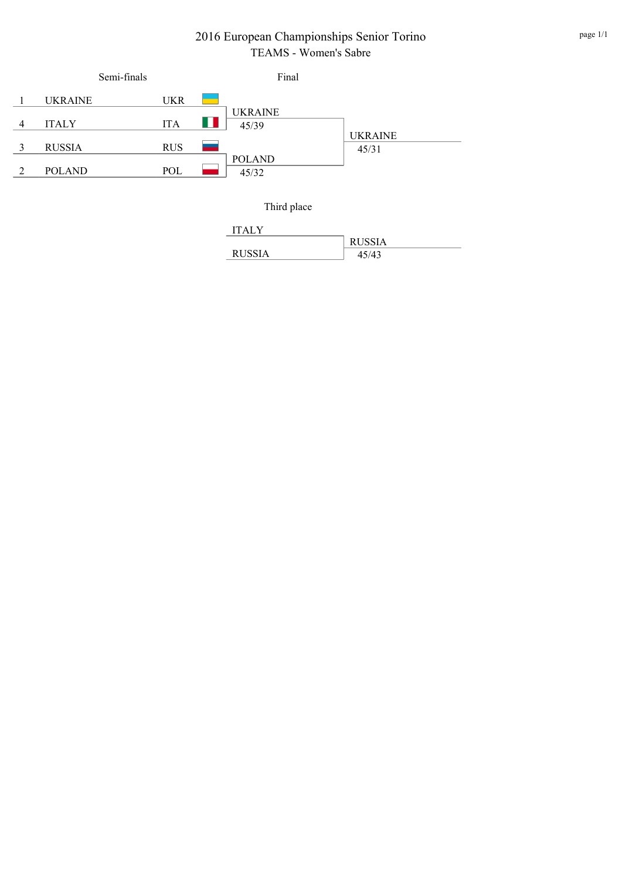## 2016 European Championships Senior Torino TEAMS - Women's Sabre

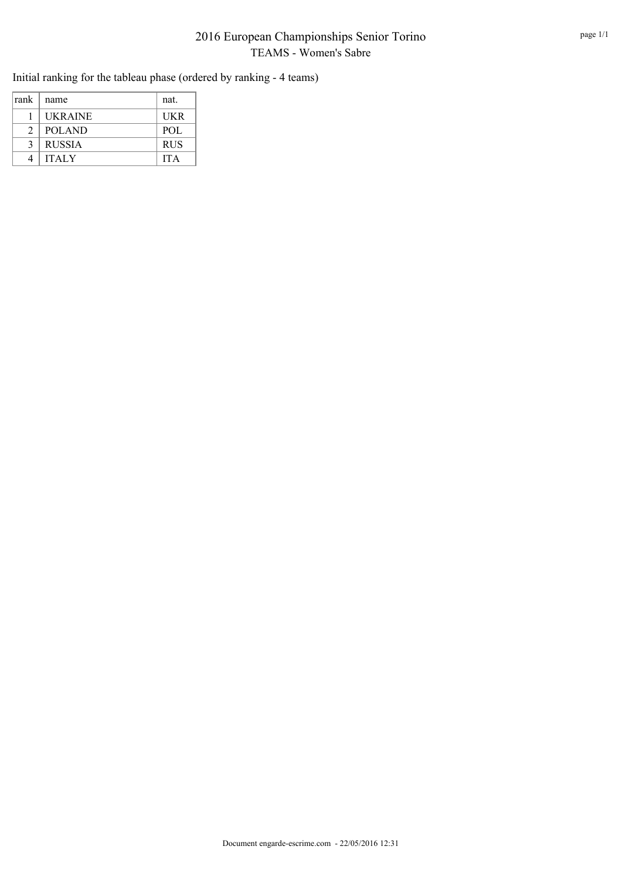## 2016 European Championships Senior Torino TEAMS - Women's Sabre

Initial ranking for the tableau phase (ordered by ranking - 4 teams)

| rank          | name           | nat.       |
|---------------|----------------|------------|
|               | <b>UKRAINE</b> | UKR        |
| $\mathcal{L}$ | <b>POLAND</b>  | POL        |
| 3             | <b>RUSSIA</b>  | <b>RUS</b> |
|               | <b>ITALY</b>   | <b>ITA</b> |